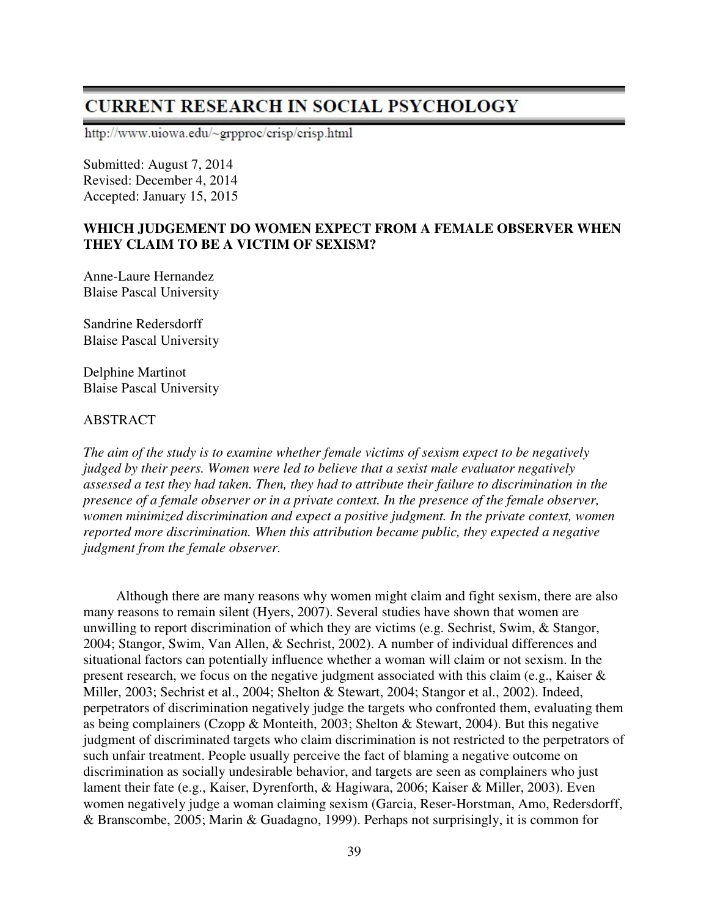# **CURRENT RESEARCH IN SOCIAL PSYCHOLOGY**

http://www.uiowa.edu/~grpproc/crisp/crisp.html

Submitted: August 7, 2014 Revised: December 4, 2014 Accepted: January 15, 2015

### **WHICH JUDGEMENT DO WOMEN EXPECT FROM A FEMALE OBSERVER WHEN THEY CLAIM TO BE A VICTIM OF SEXISM?**

Anne-Laure Hernandez Blaise Pascal University

Sandrine Redersdorff Blaise Pascal University

Delphine Martinot Blaise Pascal University

### ABSTRACT

*The aim of the study is to examine whether female victims of sexism expect to be negatively judged by their peers. Women were led to believe that a sexist male evaluator negatively assessed a test they had taken. Then, they had to attribute their failure to discrimination in the presence of a female observer or in a private context. In the presence of the female observer, women minimized discrimination and expect a positive judgment. In the private context, women reported more discrimination. When this attribution became public, they expected a negative judgment from the female observer.* 

Although there are many reasons why women might claim and fight sexism, there are also many reasons to remain silent (Hyers, 2007). Several studies have shown that women are unwilling to report discrimination of which they are victims (e.g. Sechrist, Swim, & Stangor, 2004; Stangor, Swim, Van Allen, & Sechrist, 2002). A number of individual differences and situational factors can potentially influence whether a woman will claim or not sexism. In the present research, we focus on the negative judgment associated with this claim (e.g., Kaiser & Miller, 2003; Sechrist et al., 2004; Shelton & Stewart, 2004; Stangor et al., 2002). Indeed, perpetrators of discrimination negatively judge the targets who confronted them, evaluating them as being complainers (Czopp & Monteith, 2003; Shelton & Stewart, 2004). But this negative judgment of discriminated targets who claim discrimination is not restricted to the perpetrators of such unfair treatment. People usually perceive the fact of blaming a negative outcome on discrimination as socially undesirable behavior, and targets are seen as complainers who just lament their fate (e.g., Kaiser, Dyrenforth, & Hagiwara, 2006; Kaiser & Miller, 2003). Even women negatively judge a woman claiming sexism (Garcia, Reser-Horstman, Amo, Redersdorff, & Branscombe, 2005; Marin & Guadagno, 1999). Perhaps not surprisingly, it is common for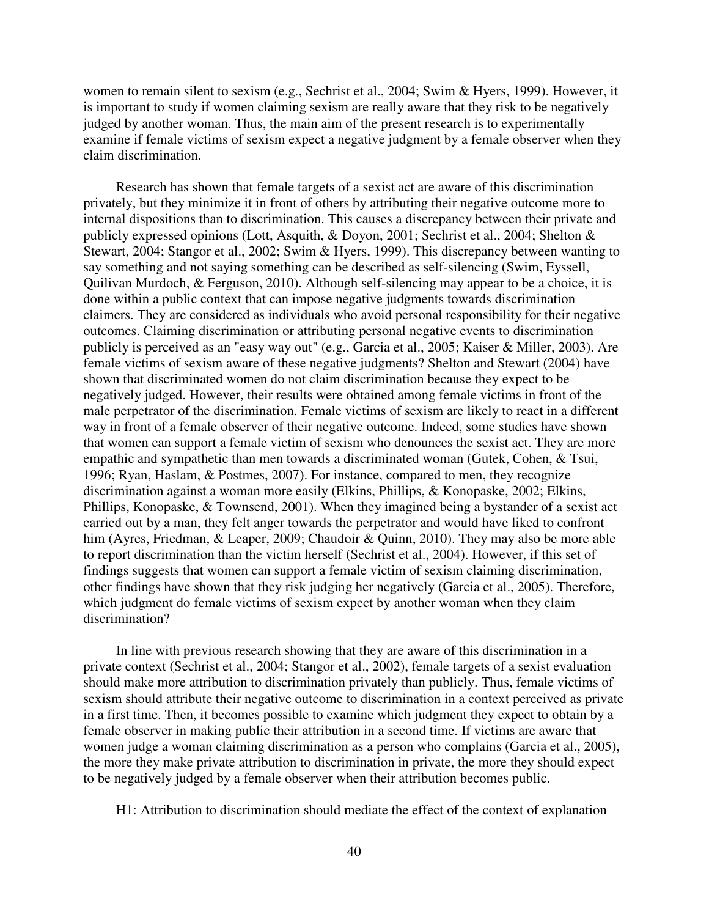women to remain silent to sexism (e.g., Sechrist et al., 2004; Swim & Hyers, 1999). However, it is important to study if women claiming sexism are really aware that they risk to be negatively judged by another woman. Thus, the main aim of the present research is to experimentally examine if female victims of sexism expect a negative judgment by a female observer when they claim discrimination.

Research has shown that female targets of a sexist act are aware of this discrimination privately, but they minimize it in front of others by attributing their negative outcome more to internal dispositions than to discrimination. This causes a discrepancy between their private and publicly expressed opinions (Lott, Asquith, & Doyon, 2001; Sechrist et al., 2004; Shelton & Stewart, 2004; Stangor et al., 2002; Swim & Hyers, 1999). This discrepancy between wanting to say something and not saying something can be described as self-silencing (Swim, Eyssell, Quilivan Murdoch, & Ferguson, 2010). Although self-silencing may appear to be a choice, it is done within a public context that can impose negative judgments towards discrimination claimers. They are considered as individuals who avoid personal responsibility for their negative outcomes. Claiming discrimination or attributing personal negative events to discrimination publicly is perceived as an "easy way out" (e.g., Garcia et al., 2005; Kaiser & Miller, 2003). Are female victims of sexism aware of these negative judgments? Shelton and Stewart (2004) have shown that discriminated women do not claim discrimination because they expect to be negatively judged. However, their results were obtained among female victims in front of the male perpetrator of the discrimination. Female victims of sexism are likely to react in a different way in front of a female observer of their negative outcome. Indeed, some studies have shown that women can support a female victim of sexism who denounces the sexist act. They are more empathic and sympathetic than men towards a discriminated woman (Gutek, Cohen, & Tsui, 1996; Ryan, Haslam, & Postmes, 2007). For instance, compared to men, they recognize discrimination against a woman more easily (Elkins, Phillips, & Konopaske, 2002; Elkins, Phillips, Konopaske, & Townsend, 2001). When they imagined being a bystander of a sexist act carried out by a man, they felt anger towards the perpetrator and would have liked to confront him (Ayres, Friedman, & Leaper, 2009; Chaudoir & Quinn, 2010). They may also be more able to report discrimination than the victim herself (Sechrist et al., 2004). However, if this set of findings suggests that women can support a female victim of sexism claiming discrimination, other findings have shown that they risk judging her negatively (Garcia et al., 2005). Therefore, which judgment do female victims of sexism expect by another woman when they claim discrimination?

In line with previous research showing that they are aware of this discrimination in a private context (Sechrist et al., 2004; Stangor et al., 2002), female targets of a sexist evaluation should make more attribution to discrimination privately than publicly. Thus, female victims of sexism should attribute their negative outcome to discrimination in a context perceived as private in a first time. Then, it becomes possible to examine which judgment they expect to obtain by a female observer in making public their attribution in a second time. If victims are aware that women judge a woman claiming discrimination as a person who complains (Garcia et al., 2005), the more they make private attribution to discrimination in private, the more they should expect to be negatively judged by a female observer when their attribution becomes public.

H1: Attribution to discrimination should mediate the effect of the context of explanation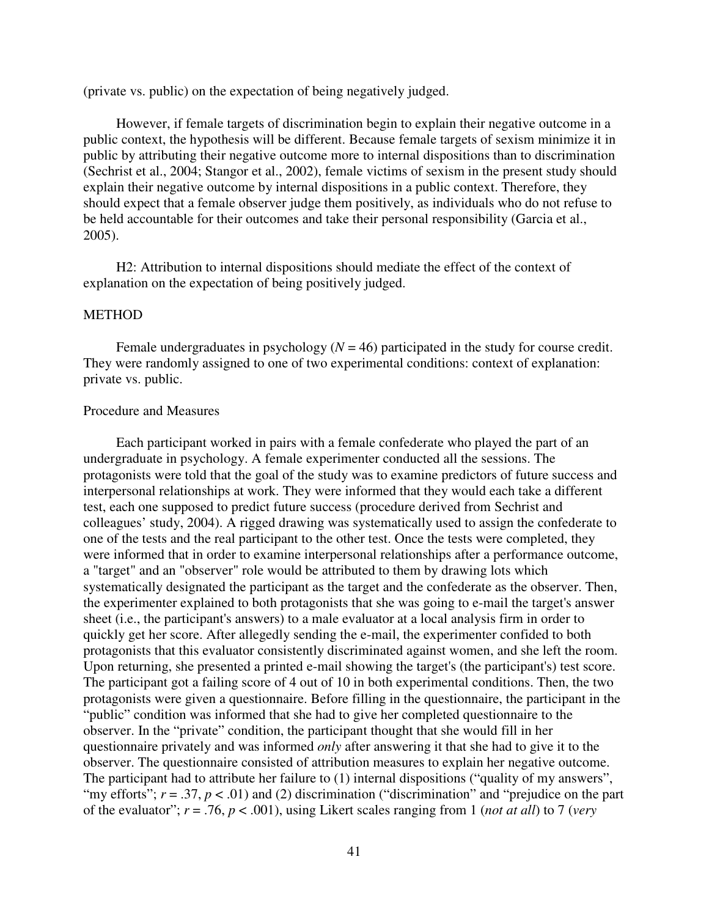(private vs. public) on the expectation of being negatively judged.

However, if female targets of discrimination begin to explain their negative outcome in a public context, the hypothesis will be different. Because female targets of sexism minimize it in public by attributing their negative outcome more to internal dispositions than to discrimination (Sechrist et al., 2004; Stangor et al., 2002), female victims of sexism in the present study should explain their negative outcome by internal dispositions in a public context. Therefore, they should expect that a female observer judge them positively, as individuals who do not refuse to be held accountable for their outcomes and take their personal responsibility (Garcia et al., 2005).

H2: Attribution to internal dispositions should mediate the effect of the context of explanation on the expectation of being positively judged.

#### **METHOD**

Female undergraduates in psychology  $(N = 46)$  participated in the study for course credit. They were randomly assigned to one of two experimental conditions: context of explanation: private vs. public.

#### Procedure and Measures

Each participant worked in pairs with a female confederate who played the part of an undergraduate in psychology. A female experimenter conducted all the sessions. The protagonists were told that the goal of the study was to examine predictors of future success and interpersonal relationships at work. They were informed that they would each take a different test, each one supposed to predict future success (procedure derived from Sechrist and colleagues' study, 2004). A rigged drawing was systematically used to assign the confederate to one of the tests and the real participant to the other test. Once the tests were completed, they were informed that in order to examine interpersonal relationships after a performance outcome, a "target" and an "observer" role would be attributed to them by drawing lots which systematically designated the participant as the target and the confederate as the observer. Then, the experimenter explained to both protagonists that she was going to e-mail the target's answer sheet (i.e., the participant's answers) to a male evaluator at a local analysis firm in order to quickly get her score. After allegedly sending the e-mail, the experimenter confided to both protagonists that this evaluator consistently discriminated against women, and she left the room. Upon returning, she presented a printed e-mail showing the target's (the participant's) test score. The participant got a failing score of 4 out of 10 in both experimental conditions. Then, the two protagonists were given a questionnaire. Before filling in the questionnaire, the participant in the "public" condition was informed that she had to give her completed questionnaire to the observer. In the "private" condition, the participant thought that she would fill in her questionnaire privately and was informed *only* after answering it that she had to give it to the observer. The questionnaire consisted of attribution measures to explain her negative outcome. The participant had to attribute her failure to (1) internal dispositions ("quality of my answers", "my efforts";  $r = .37$ ,  $p < .01$ ) and (2) discrimination ("discrimination" and "prejudice on the part of the evaluator"; *r* = .76, *p* < .001), using Likert scales ranging from 1 (*not at all*) to 7 (*very*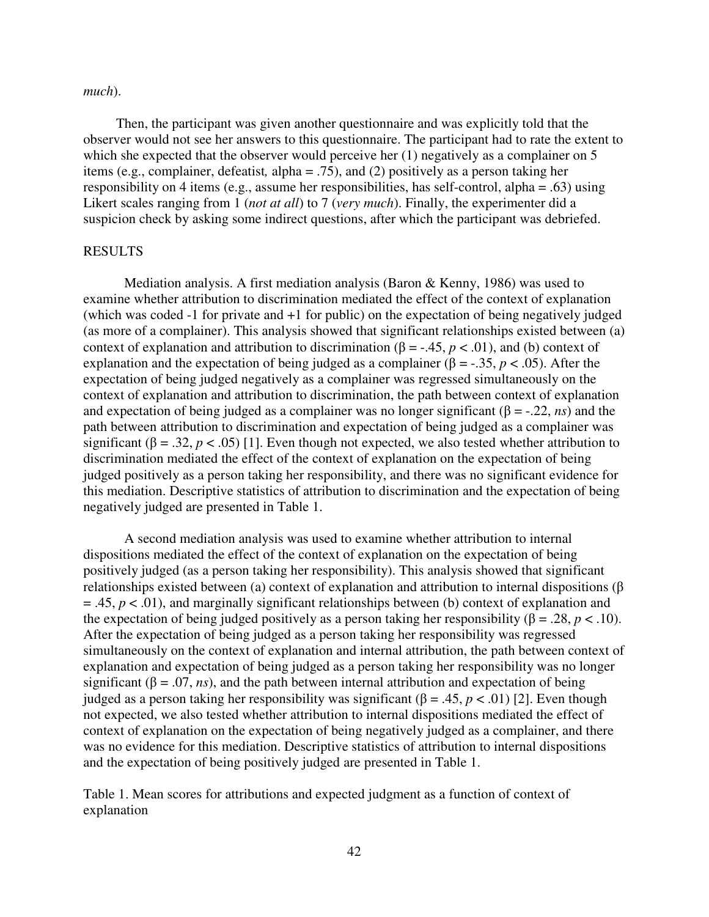#### *much*).

Then, the participant was given another questionnaire and was explicitly told that the observer would not see her answers to this questionnaire. The participant had to rate the extent to which she expected that the observer would perceive her (1) negatively as a complainer on 5 items (e.g., complainer, defeatist*,* alpha = .75), and (2) positively as a person taking her responsibility on 4 items (e.g., assume her responsibilities, has self-control, alpha = .63) using Likert scales ranging from 1 (*not at all*) to 7 (*very much*). Finally, the experimenter did a suspicion check by asking some indirect questions, after which the participant was debriefed.

#### RESULTS

Mediation analysis. A first mediation analysis (Baron & Kenny, 1986) was used to examine whether attribution to discrimination mediated the effect of the context of explanation (which was coded -1 for private and +1 for public) on the expectation of being negatively judged (as more of a complainer). This analysis showed that significant relationships existed between (a) context of explanation and attribution to discrimination ( $\beta$  = -.45, *p* < .01), and (b) context of explanation and the expectation of being judged as a complainer ( $\beta$  = -.35, *p* < .05). After the expectation of being judged negatively as a complainer was regressed simultaneously on the context of explanation and attribution to discrimination, the path between context of explanation and expectation of being judged as a complainer was no longer significant  $(\beta = -0.22, ns)$  and the path between attribution to discrimination and expectation of being judged as a complainer was significant ( $\beta = .32$ ,  $p < .05$ ) [1]. Even though not expected, we also tested whether attribution to discrimination mediated the effect of the context of explanation on the expectation of being judged positively as a person taking her responsibility, and there was no significant evidence for this mediation. Descriptive statistics of attribution to discrimination and the expectation of being negatively judged are presented in Table 1.

A second mediation analysis was used to examine whether attribution to internal dispositions mediated the effect of the context of explanation on the expectation of being positively judged (as a person taking her responsibility). This analysis showed that significant relationships existed between (a) context of explanation and attribution to internal dispositions (β  $=$  .45,  $p < .01$ ), and marginally significant relationships between (b) context of explanation and the expectation of being judged positively as a person taking her responsibility ( $\beta = .28$ ,  $p < .10$ ). After the expectation of being judged as a person taking her responsibility was regressed simultaneously on the context of explanation and internal attribution, the path between context of explanation and expectation of being judged as a person taking her responsibility was no longer significant ( $\beta = .07$ , *ns*), and the path between internal attribution and expectation of being judged as a person taking her responsibility was significant (β = .45, *p* < .01) [2]. Even though not expected, we also tested whether attribution to internal dispositions mediated the effect of context of explanation on the expectation of being negatively judged as a complainer, and there was no evidence for this mediation. Descriptive statistics of attribution to internal dispositions and the expectation of being positively judged are presented in Table 1.

Table 1. Mean scores for attributions and expected judgment as a function of context of explanation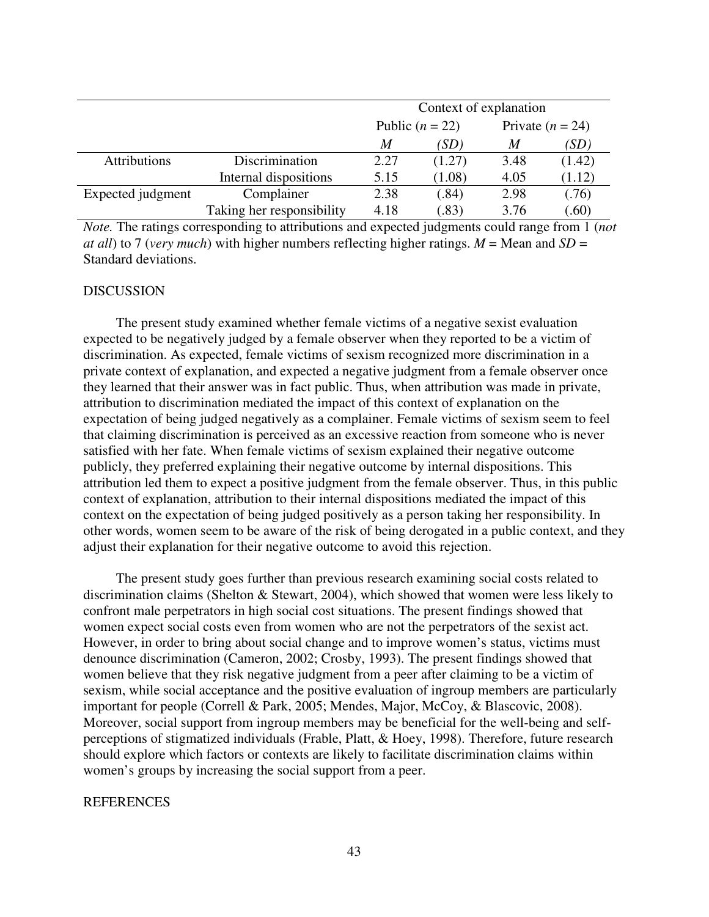|                     |                           | Context of explanation |        |                    |        |
|---------------------|---------------------------|------------------------|--------|--------------------|--------|
|                     |                           | Public $(n = 22)$      |        | Private $(n = 24)$ |        |
|                     |                           | M                      | (SD)   | M                  | (SD)   |
| <b>Attributions</b> | Discrimination            | 2.27                   | (1.27) | 3.48               | (1.42) |
|                     | Internal dispositions     | 5.15                   | (1.08) | 4.05               | (1.12) |
| Expected judgment   | Complainer                | 2.38                   | (.84)  | 2.98               | (.76)  |
|                     | Taking her responsibility | 4.18                   | (.83)  | 3.76               | (60)   |

*Note.* The ratings corresponding to attributions and expected judgments could range from 1 (*not at all*) to 7 (*very much*) with higher numbers reflecting higher ratings.  $M =$  Mean and  $SD =$ Standard deviations.

#### DISCUSSION

The present study examined whether female victims of a negative sexist evaluation expected to be negatively judged by a female observer when they reported to be a victim of discrimination. As expected, female victims of sexism recognized more discrimination in a private context of explanation, and expected a negative judgment from a female observer once they learned that their answer was in fact public. Thus, when attribution was made in private, attribution to discrimination mediated the impact of this context of explanation on the expectation of being judged negatively as a complainer. Female victims of sexism seem to feel that claiming discrimination is perceived as an excessive reaction from someone who is never satisfied with her fate. When female victims of sexism explained their negative outcome publicly, they preferred explaining their negative outcome by internal dispositions. This attribution led them to expect a positive judgment from the female observer. Thus, in this public context of explanation, attribution to their internal dispositions mediated the impact of this context on the expectation of being judged positively as a person taking her responsibility. In other words, women seem to be aware of the risk of being derogated in a public context, and they adjust their explanation for their negative outcome to avoid this rejection.

The present study goes further than previous research examining social costs related to discrimination claims (Shelton & Stewart, 2004), which showed that women were less likely to confront male perpetrators in high social cost situations. The present findings showed that women expect social costs even from women who are not the perpetrators of the sexist act. However, in order to bring about social change and to improve women's status, victims must denounce discrimination (Cameron, 2002; Crosby, 1993). The present findings showed that women believe that they risk negative judgment from a peer after claiming to be a victim of sexism, while social acceptance and the positive evaluation of ingroup members are particularly important for people (Correll & Park, 2005; Mendes, Major, McCoy, & Blascovic, 2008). Moreover, social support from ingroup members may be beneficial for the well-being and selfperceptions of stigmatized individuals (Frable, Platt, & Hoey, 1998). Therefore, future research should explore which factors or contexts are likely to facilitate discrimination claims within women's groups by increasing the social support from a peer.

### REFERENCES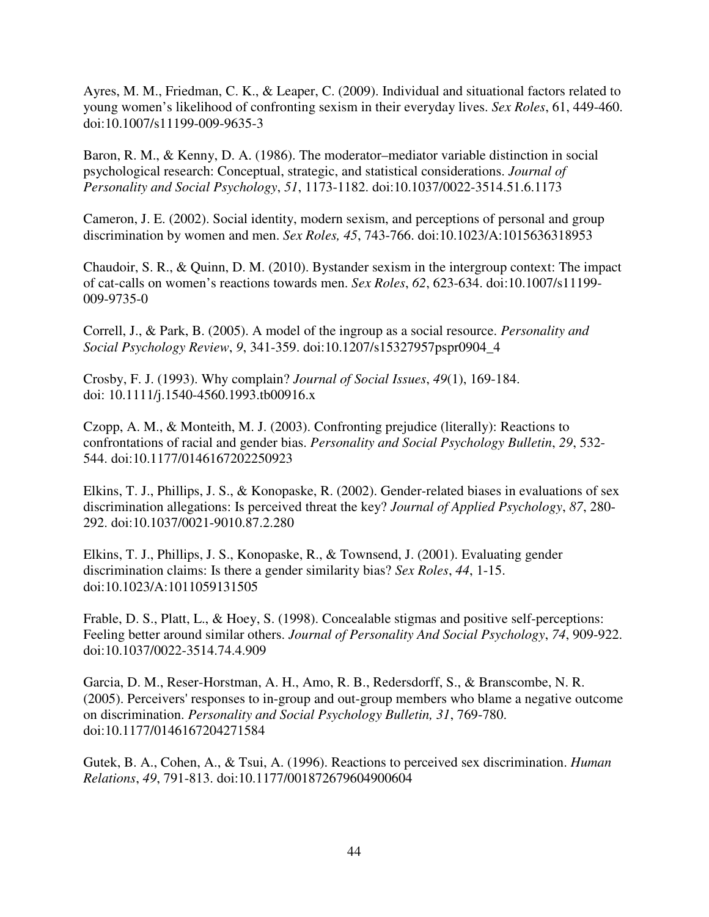Ayres, M. M., Friedman, C. K., & Leaper, C. (2009). Individual and situational factors related to young women's likelihood of confronting sexism in their everyday lives. *Sex Roles*, 61, 449-460. doi:10.1007/s11199-009-9635-3

Baron, R. M., & Kenny, D. A. (1986). The moderator–mediator variable distinction in social psychological research: Conceptual, strategic, and statistical considerations. *Journal of Personality and Social Psychology*, *51*, 1173-1182. doi:10.1037/0022-3514.51.6.1173

Cameron, J. E. (2002). Social identity, modern sexism, and perceptions of personal and group discrimination by women and men. *Sex Roles, 45*, 743-766. doi:10.1023/A:1015636318953

Chaudoir, S. R., & Quinn, D. M. (2010). Bystander sexism in the intergroup context: The impact of cat-calls on women's reactions towards men. *Sex Roles*, *62*, 623-634. doi:10.1007/s11199- 009-9735-0

Correll, J., & Park, B. (2005). A model of the ingroup as a social resource. *Personality and Social Psychology Review*, *9*, 341-359. doi:10.1207/s15327957pspr0904\_4

Crosby, F. J. (1993). Why complain? *Journal of Social Issues*, *49*(1), 169-184. doi: 10.1111/j.1540-4560.1993.tb00916.x

Czopp, A. M., & Monteith, M. J. (2003). Confronting prejudice (literally): Reactions to confrontations of racial and gender bias. *Personality and Social Psychology Bulletin*, *29*, 532- 544. doi:10.1177/0146167202250923

Elkins, T. J., Phillips, J. S., & Konopaske, R. (2002). Gender-related biases in evaluations of sex discrimination allegations: Is perceived threat the key? *Journal of Applied Psychology*, *87*, 280- 292. doi:10.1037/0021-9010.87.2.280

Elkins, T. J., Phillips, J. S., Konopaske, R., & Townsend, J. (2001). Evaluating gender discrimination claims: Is there a gender similarity bias? *Sex Roles*, *44*, 1-15. doi:10.1023/A:1011059131505

Frable, D. S., Platt, L., & Hoey, S. (1998). Concealable stigmas and positive self-perceptions: Feeling better around similar others. *Journal of Personality And Social Psychology*, *74*, 909-922. doi:10.1037/0022-3514.74.4.909

Garcia, D. M., Reser-Horstman, A. H., Amo, R. B., Redersdorff, S., & Branscombe, N. R. (2005). Perceivers' responses to in-group and out-group members who blame a negative outcome on discrimination. *Personality and Social Psychology Bulletin, 31*, 769-780. doi:10.1177/0146167204271584

Gutek, B. A., Cohen, A., & Tsui, A. (1996). Reactions to perceived sex discrimination. *Human Relations*, *49*, 791-813. doi:10.1177/001872679604900604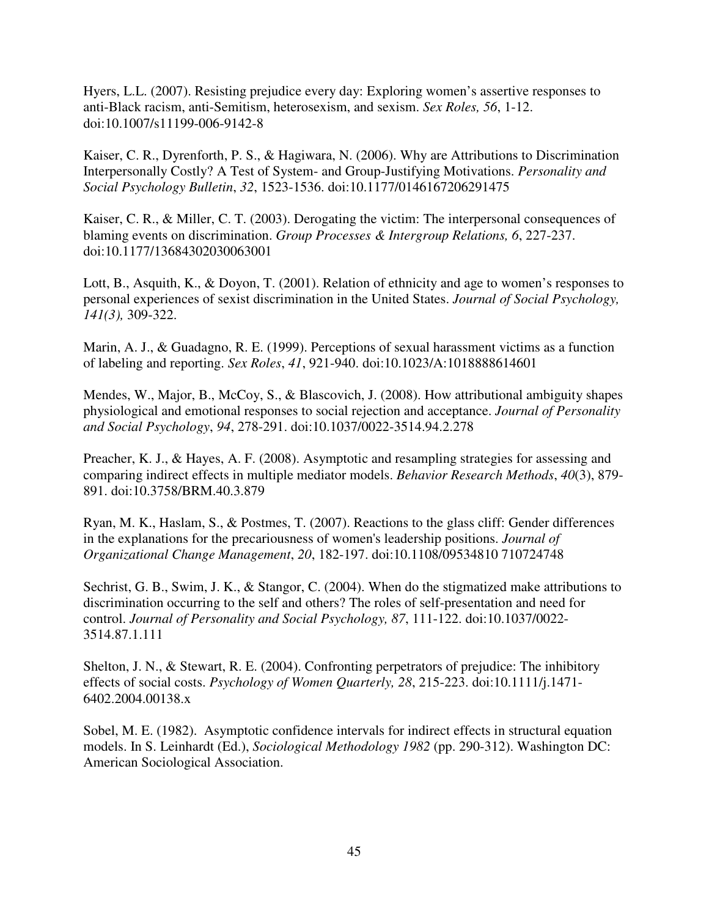Hyers, L.L. (2007). Resisting prejudice every day: Exploring women's assertive responses to anti-Black racism, anti-Semitism, heterosexism, and sexism. *Sex Roles, 56*, 1-12. doi:10.1007/s11199-006-9142-8

Kaiser, C. R., Dyrenforth, P. S., & Hagiwara, N. (2006). Why are Attributions to Discrimination Interpersonally Costly? A Test of System- and Group-Justifying Motivations. *Personality and Social Psychology Bulletin*, *32*, 1523-1536. doi:10.1177/0146167206291475

Kaiser, C. R., & Miller, C. T. (2003). Derogating the victim: The interpersonal consequences of blaming events on discrimination. *Group Processes & Intergroup Relations, 6*, 227-237. doi:10.1177/13684302030063001

Lott, B., Asquith, K., & Doyon, T. (2001). Relation of ethnicity and age to women's responses to personal experiences of sexist discrimination in the United States. *Journal of Social Psychology, 141(3),* 309-322.

Marin, A. J., & Guadagno, R. E. (1999). Perceptions of sexual harassment victims as a function of labeling and reporting. *Sex Roles*, *41*, 921-940. doi:10.1023/A:1018888614601

Mendes, W., Major, B., McCoy, S., & Blascovich, J. (2008). How attributional ambiguity shapes physiological and emotional responses to social rejection and acceptance. *Journal of Personality and Social Psychology*, *94*, 278-291. doi:10.1037/0022-3514.94.2.278

Preacher, K. J., & Hayes, A. F. (2008). Asymptotic and resampling strategies for assessing and comparing indirect effects in multiple mediator models. *Behavior Research Methods*, *40*(3), 879- 891. doi:10.3758/BRM.40.3.879

Ryan, M. K., Haslam, S., & Postmes, T. (2007). Reactions to the glass cliff: Gender differences in the explanations for the precariousness of women's leadership positions. *Journal of Organizational Change Management*, *20*, 182-197. doi:10.1108/09534810 710724748

Sechrist, G. B., Swim, J. K., & Stangor, C. (2004). When do the stigmatized make attributions to discrimination occurring to the self and others? The roles of self-presentation and need for control. *Journal of Personality and Social Psychology, 87*, 111-122. doi:10.1037/0022- 3514.87.1.111

Shelton, J. N., & Stewart, R. E. (2004). Confronting perpetrators of prejudice: The inhibitory effects of social costs. *Psychology of Women Quarterly, 28*, 215-223. doi:10.1111/j.1471- 6402.2004.00138.x

Sobel, M. E. (1982). Asymptotic confidence intervals for indirect effects in structural equation models. In S. Leinhardt (Ed.), *Sociological Methodology 1982* (pp. 290-312). Washington DC: American Sociological Association.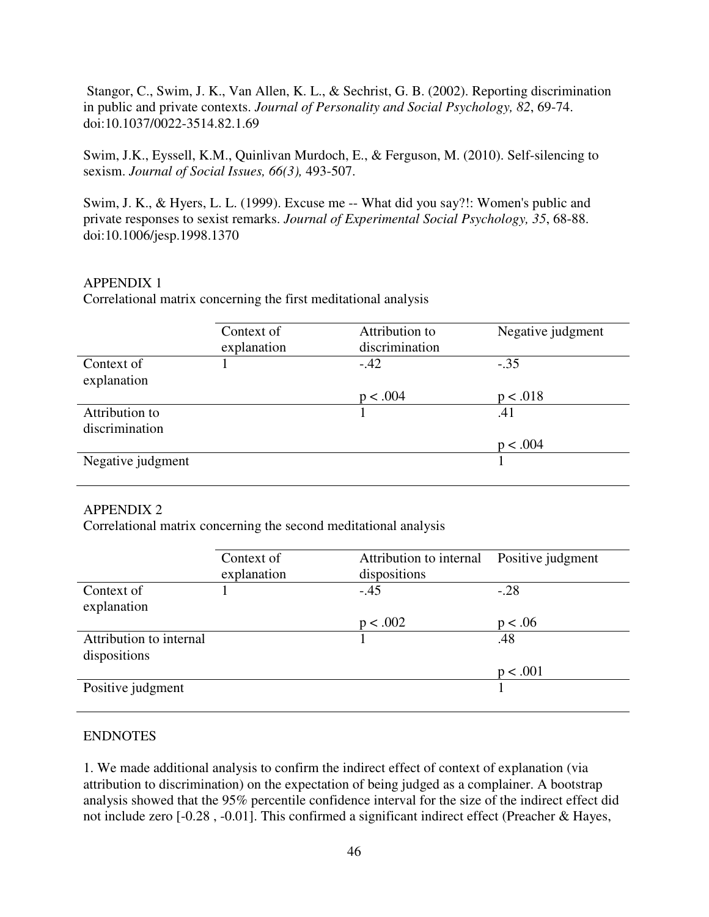Stangor, C., Swim, J. K., Van Allen, K. L., & Sechrist, G. B. (2002). Reporting discrimination in public and private contexts. *Journal of Personality and Social Psychology, 82*, 69-74. doi:10.1037/0022-3514.82.1.69

Swim, J.K., Eyssell, K.M., Quinlivan Murdoch, E., & Ferguson, M. (2010). Self-silencing to sexism. *Journal of Social Issues, 66(3),* 493-507.

Swim, J. K., & Hyers, L. L. (1999). Excuse me -- What did you say?!: Women's public and private responses to sexist remarks. *Journal of Experimental Social Psychology, 35*, 68-88. doi:10.1006/jesp.1998.1370

## APPENDIX 1

Correlational matrix concerning the first meditational analysis

|                   | Context of  | Attribution to | Negative judgment |  |  |
|-------------------|-------------|----------------|-------------------|--|--|
|                   | explanation | discrimination |                   |  |  |
| Context of        |             | $-.42$         | $-.35$            |  |  |
| explanation       |             |                |                   |  |  |
|                   |             | p < .004       | p < .018          |  |  |
| Attribution to    |             |                | .41               |  |  |
| discrimination    |             |                |                   |  |  |
|                   |             |                | p < .004          |  |  |
| Negative judgment |             |                |                   |  |  |
|                   |             |                |                   |  |  |

## APPENDIX 2

Correlational matrix concerning the second meditational analysis

|                         | Context of  | Attribution to internal | Positive judgment |  |
|-------------------------|-------------|-------------------------|-------------------|--|
|                         | explanation | dispositions            |                   |  |
| Context of              |             | $-.45$                  | $-.28$            |  |
| explanation             |             |                         |                   |  |
|                         |             | p < .002                | p < .06           |  |
| Attribution to internal |             |                         | .48               |  |
| dispositions            |             |                         |                   |  |
|                         |             |                         | p < .001          |  |
| Positive judgment       |             |                         |                   |  |
|                         |             |                         |                   |  |

## ENDNOTES

1. We made additional analysis to confirm the indirect effect of context of explanation (via attribution to discrimination) on the expectation of being judged as a complainer. A bootstrap analysis showed that the 95% percentile confidence interval for the size of the indirect effect did not include zero [-0.28 , -0.01]. This confirmed a significant indirect effect (Preacher & Hayes,